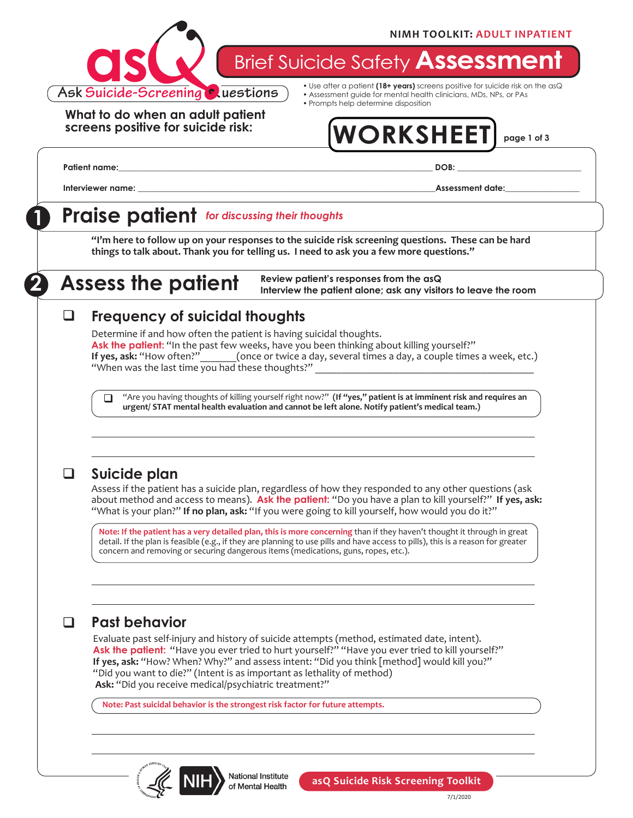

**Brief Suicide Safety Assessmer** 

**What to do when an adult patient screens positive for suicide risk:**

- Use after a patient **(18+ years)** screens positive for suicide risk on the asQ • Assessment guide for mental health clinicians, MDs, NPs, or PAs
- Prompts help determine disposition

# **WORKSHEET page 1 of 3**

**Patient name:\_\_\_\_\_\_\_\_\_\_\_\_\_\_\_\_\_\_\_\_\_\_\_\_\_\_\_\_\_\_\_\_\_\_\_\_\_\_\_\_\_\_\_\_\_\_\_\_\_\_\_\_\_\_\_\_\_\_\_\_\_\_\_\_\_\_\_\_\_\_\_\_\_\_\_\_ DOB: \_\_\_\_\_\_\_\_\_\_\_\_\_\_\_\_\_\_\_\_\_\_\_\_\_\_\_\_\_\_**

**Interviewer name: and the set of the set of the set of the set of the set of the set of the set of the set of the set of the set of the set of the set of the set of the set of the set of the set of the set of the set of** 

## **1 Praise patient** *for discussing their thoughts*

**"I'm here to follow up on your responses to the suicide risk screening questions. These can be hard things to talk about. Thank you for telling us. I need to ask you a few more questions."**

**2 Assess the patient**

**Review patient's responses from the asQ Interview the patient alone; ask any visitors to leave the room**

#### **Frequency of suicidal thoughts**  $\sqcup$

Determine if and how often the patient is having suicidal thoughts. Ask the patient: "In the past few weeks, have you been thinking about killing yourself?"<br>If yes, ask: "How often?"\_\_\_\_\_\_(once or twice a day, several times a day, a couple times **(once or twice a day, several times a day, a couple times a week, etc.)** "When was the last time you had these thoughts?"

"Are you having thoughts of killing yourself right now?" **(If "yes," patient is at imminent risk and requires an urgent/ STAT mental health evaluation and cannot be left alone. Notify patient's medical team.)**  $\Box$ 

### q **Suicide plan**

Assess if the patient has a suicide plan, regardless of how they responded to any other questions (ask about method and access to means). **Ask the patient:** "Do you have a plan to kill yourself?" **If yes, ask:**  "What is your plan?" **If no plan, ask:** "If you were going to kill yourself, how would you do it?"

**Note: If the patient has a very detailed plan, this is more concerning** than if they haven't thought it through in great detail. If the plan is feasible (e.g., if they are planning to use pills and have access to pills), this is a reason for greater concern and removing or securing dangerous items (medications, guns, ropes, etc.).

### q **Past behavior**

Evaluate past self-injury and history of suicide attempts (method, estimated date, intent). **Ask the patient:** "Have you ever tried to hurt yourself?" "Have you ever tried to kill yourself?" **If yes, ask:** "How? When? Why?" and assess intent: "Did you think [method] would kill you?" "Did you want to die?" (Intent is as important as lethality of method) **Ask:** "Did you receive medical/psychiatric treatment?"

**Note: Past suicidal behavior is the strongest risk factor for future attempts.** 



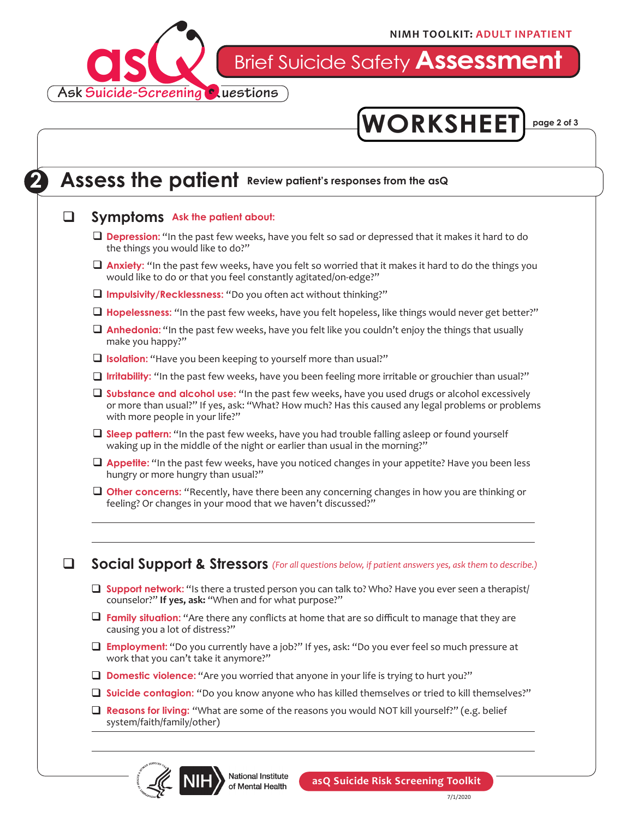

Brief Suicide Safety **Assessment**



### **2** Assess the patient Review patient's responses from the asQ

#### **a** Symptoms Ask the patient about:

- **Depression:** "In the past few weeks, have you felt so sad or depressed that it makes it hard to do the things you would like to do?"
- **Anxiety:** "In the past few weeks, have you felt so worried that it makes it hard to do the things you would like to do or that you feel constantly agitated/on-edge?"
- **Q** Impulsivity/Recklessness: "Do you often act without thinking?"
- □ Hopelessness: "In the past few weeks, have you felt hopeless, like things would never get better?"
- **Anhedonia:** "In the past few weeks, have you felt like you couldn't enjoy the things that usually make you happy?"
- **Q** Isolation: "Have you been keeping to yourself more than usual?"
- □ Irritability: "In the past few weeks, have you been feeling more irritable or grouchier than usual?"
- □ Substance and alcohol use: "In the past few weeks, have you used drugs or alcohol excessively or more than usual?" If yes, ask: "What? How much? Has this caused any legal problems or problems with more people in your life?"
- □ Sleep pattern: "In the past few weeks, have you had trouble falling asleep or found yourself waking up in the middle of the night or earlier than usual in the morning?"
- □ Appetite: "In the past few weeks, have you noticed changes in your appetite? Have you been less hungry or more hungry than usual?"
- **Other concerns:** "Recently, have there been any concerning changes in how you are thinking or feeling? Or changes in your mood that we haven't discussed?"

**a** Social Support & Stressors (For all questions below, if patient answers yes, ask them to describe.)

- **Support network:** "Is there a trusted person you can talk to? Who? Have you ever seen a therapist/ counselor?" **If yes, ask:** "When and for what purpose?"
- **T** Family situation: "Are there any conflicts at home that are so difficult to manage that they are causing you a lot of distress?"
- **Employment:** "Do you currently have a job?" If yes, ask: "Do you ever feel so much pressure at work that you can't take it anymore?"
- **Domestic violence:** "Are you worried that anyone in your life is trying to hurt you?"
- □ Suicide contagion: "Do you know anyone who has killed themselves or tried to kill themselves?"
- **□ Reasons for living:** "What are some of the reasons you would NOT kill yourself?" (e.g. belief system/faith/family/other)



National Institute of Mental Health

**asQ Suicide Risk Screening Toolkit**